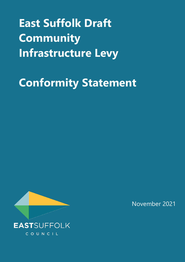# **East Suffolk Draft Community Infrastructure Levy**

## **Conformity Statement**



November 2021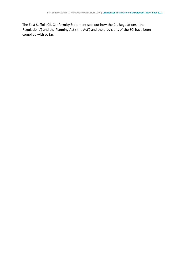The East Suffolk CIL Conformity Statement sets out how the CIL Regulations ('the Regulations') and the Planning Act ('the Act') and the provisions of the SCI have been complied with so far.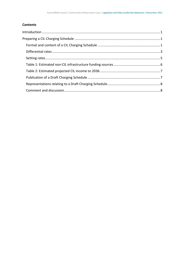#### **Contents**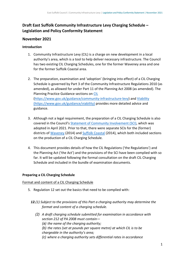## **Draft East Suffolk Community Infrastructure Levy Charging Schedule – Legislation and Policy Conformity Statement**

## **November 2021**

### <span id="page-3-0"></span>**Introduction**

- 1. Community Infrastructure Levy (CIL) is a charge on new development in a local authority's area, which is a tool to help deliver necessary infrastructure. The Council has two existing CIL Charging Schedules, one for the former Waveney area and one for the former Suffolk Coastal area.
- 2. The preparation, examination and 'adoption' (bringing into effect) of a CIL Charging Schedule is governed by Part 3 of the Community Infrastructure Regulations 2010 (as amended), as allowed for under Part 11 of the Planning Act 2008 (as amended). The Planning Practice Guidance sections on [CIL](https://www.gov.uk/guidance/community-infrastructure-levy) [\(https://www.gov.uk/guidance/community-infrastructure-levy\)](https://www.gov.uk/guidance/community-infrastructure-levy) and [Viability](https://www.gov.uk/guidance/viability) (https://www.gov.uk/guidance/viability) provides more detailed advice and guidance.
- 3. Although not a legal requirement, the preparation of a CIL Charging Schedule is also covered in the Council's [Statement of Community Involvement \(SCI\),](https://www.eastsuffolk.gov.uk/assets/Planning/Planning-Policy-and-Local-Plans/Statement-of-Community-Involvement/Statement-of-Community-Involvement.pdf) which was adopted in April 2021. Prior to that, there were separate SCIs for the (former) districts of [Waveney](https://www.eastsuffolk.gov.uk/assets/Planning/Waveney-Local-Plan/Statement-of-Community-Involvement/1Statement-of-Community-Involvement-September-2014.pdf) (2014) and [Suffolk Coastal](https://www.eastsuffolk.gov.uk/assets/Planning/Suffolk-Coastal-Local-Plan/SCDC-Statement-of-Community-Involvement.pdf) (2014), which both included sections on the production of a CIL Charging Schedule.
- 4. This document provides details of how the CIL Regulations ('the Regulations') and the Planning Act ('the Act') and the provisions of the SCI have been complied with so far. It will be updated following the formal consultation on the draft CIL Charging Schedule and included in the bundle of examination documents.

## <span id="page-3-1"></span>**Preparing a CIL Charging Schedule**

<span id="page-3-2"></span>Format and content of a CIL Charging Schedule

- 5. Regulation 12 set out the basics that need to be complied with:
	- *12.(1) Subject to the provisions of this Part a charging authority may determine the format and content of a charging schedule.*
		- *(2) A draft charging schedule submitted for examination in accordance with section 212 of PA 2008 must contain— (a) the name of the charging authority; (b) the rates (set at pounds per square metre) at which CIL is to be chargeable in the authority's area;*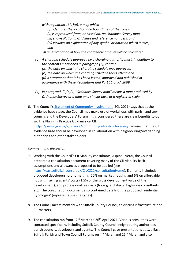*with regulation 13(1)(a), a map which—*

- *(i) identifies the location and boundaries of the zones,*
- *(ii) is reproduced from, or based on, an Ordnance Survey map,*
- *(iii) shows National Grid lines and reference numbers, and*

*(iv) includes an explanation of any symbol or notation which it uses; and* 

- *d) an explanation of how the chargeable amount will be calculated.*
- *(3) A charging schedule approved by a charging authority must, in addition to the contents mentioned in paragraph (2), contain— (a) the date on which the charging schedule was approved; (b) the date on which the charging schedule takes effect; and (c) a statement that it has been issued, approved and published in accordance with these Regulations and Part 11 of PA 2008.*
- *(4) In paragraph (2)(c)(ii) "Ordnance Survey map" means a map produced by Ordnance Survey or a map on a similar base at a registered scale.*
- 6. The Council's [Statement of Community Involvement](https://www.eastsuffolk.gov.uk/assets/Planning/Planning-Policy-and-Local-Plans/Statement-of-Community-Involvement/Statement-of-Community-Involvement.pdf) (SCI, 2021) says that at the evidence base stage, the Council may make use of workshops with parish and town councils and the Developers' Forum if it is considered there are clear benefits to do so. The Planning Practice Guidance on CIL

[\(https://www.gov.uk/guidance/community-infrastructure-levy\)](https://www.gov.uk/guidance/community-infrastructure-levy) advises that the CIL evidence base should be developed in collaboration with neighbouring/overlapping authorities and other stakeholders.

#### *Comment and discussion*

- 7. Working with the Council's CIL viability consultants, Aspinall Verdi, the Council prepared a consultation document covering many of the CIL viability basic assumptions and allowances proposed to be applied (see [https://eastsuffolk.inconsult.uk/CILCS21/consultationHome\)](https://eastsuffolk.inconsult.uk/CILCS21/consultationHome). Elements included: proposed developers' profit margins (20% on market housing and 6% on affordable housing); selling agents' costs (1.5% of the gross development value of the development); and professional fee costs (for e.g. architects, highways consultants etc). The consultation document also contained details of the proposed residential 'typologies' (representative site-types).
- 8. The Council meets monthly with Suffolk County Council, to discuss infrastructure and CIL matters.
- 9. The consultation ran from  $12<sup>th</sup>$  March to 26<sup>th</sup> April 2021. Various consultees were contacted specifically, including Suffolk County Council, neighbouring authorities, parish councils, developers and agents. The Council gave presentations at two East Suffolk Parish and Town Council Forums on 4<sup>th</sup> March and 25<sup>th</sup> March and also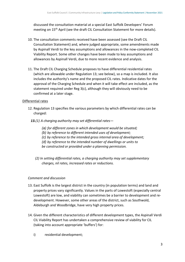discussed the consultation material at a special East Suffolk Developers' Forum meeting on 15<sup>th</sup> April (see the draft CIL Consultation Statement for more details).

- 10. The consultation comments received have been assessed (see the Draft CIL Consultation Statement) and, where judged appropriate, some amendments made by Aspinall Verdi to the key assumptions and allowances in the now-completed CIL Viability Report. Some other changes have been made to key assumptions and allowances by Aspinall Verdi, due to more recent evidence and analysis.
- 11. The Draft CIL Charging Schedule proposes to have differential residential rates (which are allowable under Regulation 13; see below), so a map is included. It also includes the authority's name and the proposed CIL rates. Indicative dates for the approval of the Charging Schedule and when it will take effect are included, as the statement required under Reg 3(c), although they will obviously need to be confirmed at a later stage.

#### <span id="page-5-0"></span>Differential rates

- 12. Regulation 13 specifies the various parameters by which differential rates can be charged:
	- *13.(1) A charging authority may set differential rates—*
		- *(a) for different zones in which development would be situated;*
		- *(b) by reference to different intended uses of development;*
		- *(c) by reference to the intended gross internal area of development;*
		- *(d) by reference to the intended number of dwellings or units to*
		- *be constructed or provided under a planning permission.*
		- *(2) In setting differential rates, a charging authority may set supplementary charges, nil rates, increased rates or reductions.*

#### *Comment and discussion*

- 13. East Suffolk is the largest district in the country (in population terms) and land and property prices vary significantly. Values in the parts of Lowestoft (especially central Lowestoft) are low, and viability can sometimes be a barrier to development and redevelopment. However, some other areas of the district, such as Southwold, Aldeburgh and Woodbridge, have very high property prices.
- 14. Given the different characteristics of different development types, the Aspinall Verdi CIL Viability Report has undertaken a comprehensive review of viability for CIL (taking into account appropriate 'buffers') for:
	- i) residential development;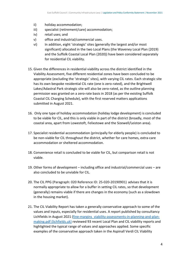- ii) holiday accommodation;
- iii) specialist (retirement/care) accommodation;
- iv) retail uses; and
- v) office and industrial/commercial uses.
- vi) In addition, eight 'strategic' sites (generally the largest and/or most significant) allocated in the two Local Plans (the Waveney Local Plan (2019) and the Suffolk Coastal Local Plan (2020)) have been considered separately for residential CIL viability.
- 15. Given the differences in residential viability across the district identified in the Viability Assessment, five different residential zones have been concluded to be appropriate (excluding the 'strategic' sites), with varying CIL rates. Each strategic site has its own bespoke residential CIL rate (one is zero-rated), and the Brightwell Lakes/Adastral Park strategic site will also be zero-rated, as the outline planning permission was granted on a zero-rate basis in 2018 (as per the existing Suffolk Coastal CIL Charging Schedule), with the first reserved matters applications submitted in August 2021.
- 16. Only one type of holiday accommodation (holiday lodge development) is concluded to be viable for CIL, and this is only viable in part of the district (broadly, most of the coastal area, apart from Lowestoft, Felixstowe and the Sizewell/Leiston area).
- 17. Specialist residential accommodation (principally for elderly people) is concluded to be non-viable for CIL throughout the district, whether for care homes, extra-care accommodation or sheltered accommodation.
- 18. Convenience retail is concluded to be viable for CIL, but comparison retail is not viable.
- 19. Other forms of development including office and industrial/commercial uses are also concluded to be unviable for CIL.
- 20. The CIL PPG (Paragraph: 020 Reference ID: 25-020-20190901) advises that it is normally appropriate to allow for a buffer in setting CIL rates, so that development (generally) remains viable if there are changes in the economy (such as a slowdown in the housing market).
- 21. The CIL Viability Report has taken a generally conservative approach to some of the values and inputs, especially for residential uses. A report published by consultancy Lichfields in August 2021 [\(fine-margins\\_viability-assessments-in-planning-and-plan](https://lichfields.uk/media/6509/fine-margins_viability-assessments-in-planning-and-plan-making.pdf)[making.pdf \(lichfields.uk\)](https://lichfields.uk/media/6509/fine-margins_viability-assessments-in-planning-and-plan-making.pdf) reviewed 93 recent Local Plan and CIL viability reports and highlighted the typical range of values and approaches applied. Some specific examples of the conservative approach taken in the Aspinall Verdi CIL Viability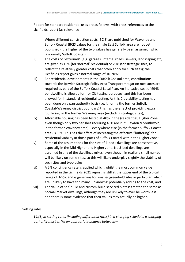Report for standard residential uses are as follows, with cross-references to the Lichfields report (as relevant):

- i) Where different construction costs (BCIS) are published for Waveney and Suffolk Coastal (BCIS values for the single East Suffolk area are not yet published), the higher of the two values has generally been assumed (which is normally Suffolk Coastal);
- ii) The costs of "externals" (e.g. garages, internal roads, sewers, landscaping etc) are given as 15% (for 'normal' residential) or 20% (for strategic sites, to reflect the relatively greater costs that often apply for such sites); the Lichfields report gives a normal range of 10-20%;
- iii) For residential developments in the Suffolk Coastal area, contributions towards the Ipswich Strategic Policy Area Transport mitigation measures are required as part of the Suffolk Coastal Local Plan. An indicative cost of £943 per dwelling is allowed for (for CIL testing purposes) and this has been allowed for in standard residential testing. As this CIL viability testing has been done on a pan-authority basis (i.e. ignoring the former Suffolk Coastal/Waveney district boundary) this has the effect of providing extra 'buffering' in the former Waveney area (excluding strategic sites);
- iv) Affordable housing has been tested at 40% in the (residential) Higher Zone, even though only two parishes requiring 40% are in it (Reydon & Southwold, in the former Waveney area) – everywhere else (in the former Suffolk Coastal area) is 33%. This has the effect of increasing the effective "buffering" for residential viability in those parts of Suffolk Coastal within the Higher Zone;
- v) Some of the assumptions for the size of 4-bed+ dwellings are conservative, especially in the Mid Higher and Higher zone. No 5-bed dwellings are assumed in any of the dwellings mixes, even though in reality a small number will be likely on some sites, so this will likely underplay slightly the viability of such sites and typologies;
- vi) A 5% contingency rate is applied which, whilst the most common value reported in the Lichfields 2021 report, is still at the upper end of the typical range of 3-5%, and is generous for smaller greenfield sites in particular, which are unlikely to have too many 'unknowns' potentially adding to the cost; and
- vii) The value of self-build and custom-build serviced plots is treated the same as normal market dwellings, although they are unlikely to ever be worth less and there is some evidence that their values may actually be higher.

#### <span id="page-7-0"></span>Setting rates

*14.(1) In setting rates (including differential rates) in a charging schedule, a charging authority must strike an appropriate balance between—*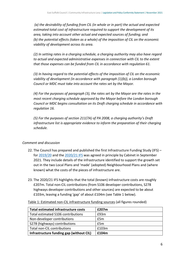*(a) the desirability of funding from CIL (in whole or in part) the actual and expected estimated total cost of infrastructure required to support the development of its area, taking into account other actual and expected sources of funding; and (b) the potential effects (taken as a whole) of the imposition of CIL on the economic viability of development across its area.*

*(2) In setting rates in a charging schedule, a charging authority may also have regard to actual and expected administrative expenses in connection with CIL to the extent that those expenses can be funded from CIL in accordance with regulation 61.* 

*(3) In having regard to the potential effects of the imposition of CIL on the economic viability of development (in accordance with paragraph (1)(b)), a London borough Council or MDC must take into account the rates set by the Mayor.* 

*(4) For the purposes of paragraph (3), the rates set by the Mayor are the rates in the most recent charging schedule approved by the Mayor before the London borough Council or MDC begins consultation on its Draft charging schedule in accordance with regulation 16.*

*(5) For the purposes of section 211(7A) of PA 2008, a charging authority's Draft infrastructure list is appropriate evidence to inform the preparation of their charging schedule.*

## *Comment and discussion*

- 22. The Council has prepared and published the first Infrastructure Funding Study (IFS) for [2019/20](https://www.eastsuffolk.gov.uk/assets/Planning/East-Suffolk-Infrastructure-Funding-Statement-2019-20.pdf) and the [2020/21](http://eastsuffolk.cmis.uk.com/eastsuffolk/Decisions/tabid/67/ctl/ViewCMIS_DecisionDetails/mid/391/Id/f277c41b-0396-47d9-abd1-e2b78f7d987d/Default.aspx) IFS was agreed in principle by Cabinet in September 2021. They include details of the infrastructure identified to support the growth set out in the two Local Plans and 'made' (adopted) Neighbourhood Plans and (where known) what the costs of the pieces of infrastructure are.
- 23. The 2020/21 IFS highlights that the total (known) infrastructure costs are roughly £207m. Total non-CIL contributions (from S106 developer contributions, S278 highways developer contributions and other sources) are expected to be about £103m, leaving a funding 'gap' of about £104m (see Table 1 below).

| <b>Total estimated infrastructure costs</b> | £207m |
|---------------------------------------------|-------|
| Total estimated S106 contributions          | £93m  |
| Non-developer contributions                 | £5m   |
| S278 (highways) contributions               | £5m   |
| Total non-CIL contributions                 | £103m |
| Infrastructure funding gap (without CIL)    | £104m |

<span id="page-8-0"></span>Table 1: Estimated non-CIL infrastructure funding sources (all figures rounded)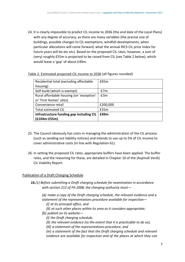24. It is clearly impossible to predict CIL income to 2036 (the end date of the Local Plans) with any degree of accuracy, as there are many variables (the precise size of buildings, possible changes to CIL exemptions, windfall developments, when particular allocations will come forward, what the annual RICS CIL price index for future years will be etc etc). Based on the proposed CIL rates, however, a sum of (very) roughly £55m is projected to be raised from CIL (see Table 2 below), which would leave a 'gap' of about £49m.

<span id="page-9-0"></span>

| Table 2: Estimated projected CIL income to 2036 (all figures rounded) |  |
|-----------------------------------------------------------------------|--|
|                                                                       |  |

| Residential total (excluding affordable  | £65m     |
|------------------------------------------|----------|
| housing)                                 |          |
| Self-build (which is exempt)             | $-E7m$   |
| Rural affordable housing (on 'exception' | $-E3m$   |
| or 'First Homes' sites)                  |          |
| Convenience retail                       | £200,000 |
| <b>Total estimated CIL</b>               | £55m     |
| Infrastructure funding gap including CIL | £49m     |
| $(f104m-E55m)$                           |          |

- 25. The Council obviously has costs in managing the administration of the CIL process (such as sending out liability notices) and intends to use up to 5% of CIL income to cover administrative costs (in line with Regulation 61).
- 26. In setting the proposed CIL rates, appropriate buffers have been applied. The buffer rates, and the reasoning for these, are detailed in Chapter 10 of the (Aspinall Verdi) CIL Viability Report.

### <span id="page-9-1"></span>Publication of a Draft Charging Schedule

- *16.(1) Before submitting a Draft charging schedule for examination in accordance with section 212 of PA 2008, the charging authority must—*
	- *(a) make a copy of the Draft charging schedule, the relevant evidence and a statement of the representations procedure available for inspection—*
		- *(i) at its principal office, and*
		- *(ii) at such other places within its area as it considers appropriate;*
	- *(b) publish on its website—*
		- *(i) the Draft charging schedule,*
		- *(ii) the relevant evidence (to the extent that it is practicable to do so),*
		- *(iii) a statement of the representations procedure, and*
		- *(iv) a statement of the fact that the Draft charging schedule and relevant evidence are available for inspection and of the places at which they can*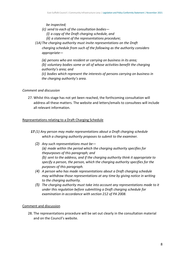*be inspected;*

- *(c) send to each of the consultation bodies—*
	- *(i) a copy of the Draft charging schedule, and*
	- *(ii) a statement of the representations procedure;*
- *(1A) The charging authority must invite representations on the Draft charging schedule from such of the following as the authority considers appropriate—*

*(a) persons who are resident or carrying on business in its area; (b) voluntary bodies some or all of whose activities benefit the charging authority's area; and*

*(c) bodies which represent the interests of persons carrying on business in the charging authority's area.*

#### *Comment and discussion*

27. Whilst this stage has not yet been reached, the forthcoming consultation will address all these matters. The website and letters/emails to consultees will include all relevant information.

#### <span id="page-10-0"></span>Representations relating to a Draft Charging Schedule

- *17.(1) Any person may make representations about a Draft charging schedule which a charging authority proposes to submit to the examiner.*
	- *(2) Any such representations must be— (a) made within the period which the charging authority specifies for thepurposes of this paragraph; and (b) sent to the address, and if the charging authority think it appropriate to specify a person, the person, which the charging authority specifies for the purposes of this paragraph.*
	- *(4) A person who has made representations about a Draft charging schedule may withdraw those representations at any time by giving notice in writing to the charging authority.*
	- *(5) The charging authority must take into account any representations made to it under this regulation before submitting a Draft charging schedule for examination in accordance with section 212 of PA 2008.*

#### <span id="page-10-1"></span>Comment and discussion

28. The representations procedure will be set out clearly in the consultation material and on the Council's website.